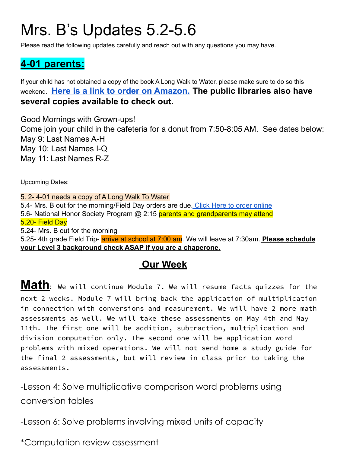# Mrs. B's Updates 5.2-5.6

Please read the following updates carefully and reach out with any questions you may have.

### **4-01 parents:**

If your child has not obtained a copy of the book A Long Walk to Water, please make sure to do so this weekend. **[Here is a link to order on Amazon.](https://www.amazon.com/Long-Walk-Water-Based-Story/dp/0547577311/ref=sr_1_1?crid=1AX3S7CBGRAUM&keywords=a+long+walk+to+water&qid=1648759538&sprefix=A+Long+Walk+%2Caps%2C120&sr=8-1) The public libraries also have several copies available to check out.**

Good Mornings with Grown-ups! Come join your child in the cafeteria for a donut from 7:50-8:05 AM. See dates below: May 9: Last Names A-H May 10: Last Names I-Q May 11: Last Names R-Z

Upcoming Dates:

5. 2- 4-01 needs a copy of A Long Walk To Water 5.4- Mrs. B out for the morning/Field Day orders are due. [Click Here to order online](https://richlandpto.org/field-day) 5.6- National Honor Society Program @ 2:15 parents and grandparents may attend 5.20- Field Day 5.24- Mrs. B out for the morning 5.25- 4th grade Field Trip- arrive at school at 7:00 am. We will leave at 7:30am. **Please schedule your Level 3 background check ASAP if you are a chaperone.**

#### **Our Week**

**Math:** We will continue Module 7. We will resume facts quizzes for the next 2 weeks. Module 7 will bring back the application of multiplication in connection with conversions and measurement. We will have 2 more math assessments as well. We will take these assessments on May 4th and May 11th. The first one will be addition, subtraction, multiplication and division computation only. The second one will be application word problems with mixed operations. We will not send home a study guide for the final 2 assessments, but will review in class prior to taking the assessments.

-Lesson 4: Solve multiplicative comparison word problems using conversion tables

-Lesson 6: Solve problems involving mixed units of capacity

\*Computation review assessment